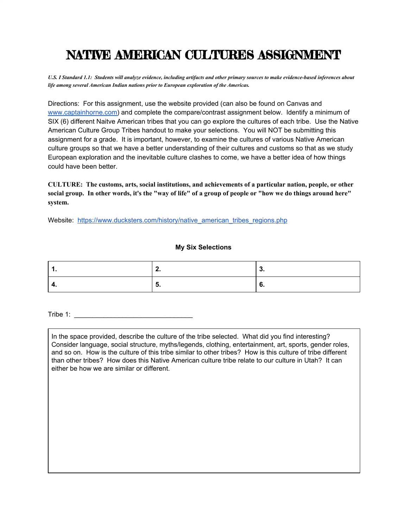## NATIVE AMERICAN CULTURES ASSIGNMENT

U.S. I Standard 1.1: Students will analyze evidence, including artifacts and other primary sources to make evidence-based inferences about *life among several American Indian nations prior to European exploration of the Americas.*

Directions: For this assignment, use the website provided (can also be found on Canvas and [www.captainhorne.com\)](http://www.captainhorne.com/) and complete the compare/contrast assignment below. Identify a minimum of SIX (6) different Naitve American tribes that you can go explore the cultures of each tribe. Use the Native American Culture Group Tribes handout to make your selections. You will NOT be submitting this assignment for a grade. It is important, however, to examine the cultures of various Native American culture groups so that we have a better understanding of their cultures and customs so that as we study European exploration and the inevitable culture clashes to come, we have a better idea of how things could have been better.

**CULTURE: The customs, arts, social institutions, and achievements of a particular nation, people, or other** social group. In other words, it's the "way of life" of a group of people or "how we do things around here" **system.**

Website: [https://www.ducksters.com/history/native\\_american\\_tribes\\_regions.php](https://www.ducksters.com/history/native_american_tribes_regions.php)

## **My Six Selections**

 $\mathsf{Triple} \; \mathsf{1}: \mathsf{2} \; \longrightarrow \; \mathsf{3} \; \mathsf{4} \; \mathsf{5}$ 

In the space provided, describe the culture of the tribe selected. What did you find interesting? Consider language, social structure, myths/legends, clothing, entertainment, art, sports, gender roles, and so on. How is the culture of this tribe similar to other tribes? How is this culture of tribe different than other tribes? How does this Native American culture tribe relate to our culture in Utah? It can either be how we are similar or different.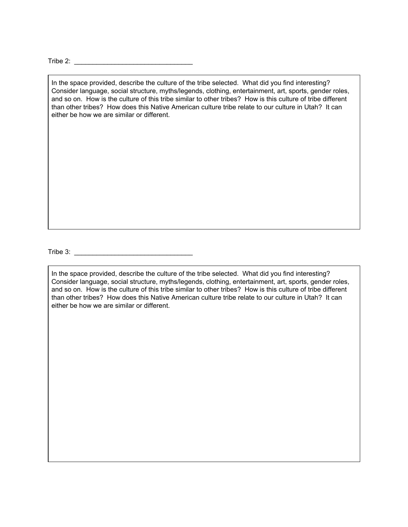Tribe 2: \_\_\_\_\_\_\_\_\_\_\_\_\_\_\_\_\_\_\_\_\_\_\_\_\_\_\_\_\_\_\_\_

In the space provided, describe the culture of the tribe selected. What did you find interesting? Consider language, social structure, myths/legends, clothing, entertainment, art, sports, gender roles, and so on. How is the culture of this tribe similar to other tribes? How is this culture of tribe different than other tribes? How does this Native American culture tribe relate to our culture in Utah? It can either be how we are similar or different.

Tribe 3: \_\_\_\_\_\_\_\_\_\_\_\_\_\_\_\_\_\_\_\_\_\_\_\_\_\_\_\_\_\_\_\_

In the space provided, describe the culture of the tribe selected. What did you find interesting? Consider language, social structure, myths/legends, clothing, entertainment, art, sports, gender roles, and so on. How is the culture of this tribe similar to other tribes? How is this culture of tribe different than other tribes? How does this Native American culture tribe relate to our culture in Utah? It can either be how we are similar or different.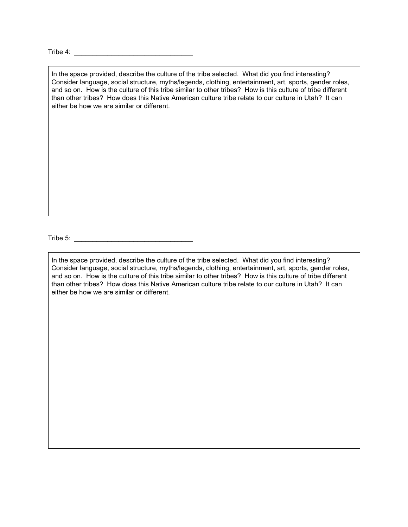Tribe 4:  $\qquad \qquad$ 

In the space provided, describe the culture of the tribe selected. What did you find interesting? Consider language, social structure, myths/legends, clothing, entertainment, art, sports, gender roles, and so on. How is the culture of this tribe similar to other tribes? How is this culture of tribe different than other tribes? How does this Native American culture tribe relate to our culture in Utah? It can either be how we are similar or different.

Tribe 5: \_\_\_\_\_\_\_\_\_\_\_\_\_\_\_\_\_\_\_\_\_\_\_\_\_\_\_\_\_\_\_\_

In the space provided, describe the culture of the tribe selected. What did you find interesting? Consider language, social structure, myths/legends, clothing, entertainment, art, sports, gender roles, and so on. How is the culture of this tribe similar to other tribes? How is this culture of tribe different than other tribes? How does this Native American culture tribe relate to our culture in Utah? It can either be how we are similar or different.